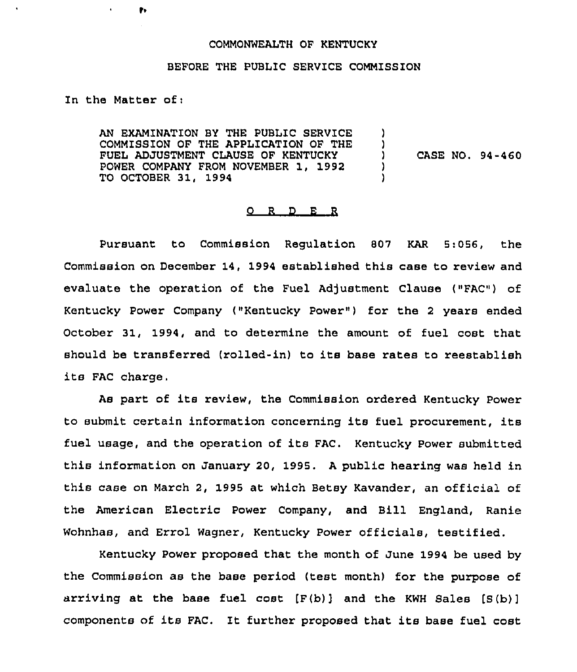### COMMONWEALTH OF KENTUCKY

#### BEFORE THE PUBLIC SERVICE COMMISSION

## In the Matter of;

ţ,

AN EXAMINATION BY THE PUBLIC SERVICE COMMISSION OF THE APPLICATION OF THE FUEL ADJUSTMENT CLAUSE OF KENTUCKY POWER COMPANY FROM NOVEMBER 1, 1992 TO OCTOBER 31, 1994 ) )<br>) ) CASE NO. 94-460 ) )

#### 0 <sup>R</sup> <sup>D</sup> E <sup>R</sup>

Pursuant to Commission Regulation 807 KAR 5:056, the Commission on December 14, 1994 established this case to review and evaluate the operation of the Fuel Adjustment Clause ("FAC") of Kentucky Power Company ("Kentucky Power") for the 2 years ended October 31, 1994, and to determine the amount of fuel cost that should be transferred (rolled-in) to its base rates to reestablish its FAC charge.

As part of its review, the Commission ordered Kentucky Power to submit certain information concerning its fuel procurement, its fuel usage, and the operation of its FAC. Kentucky Power submitted this information on January 20, 1995. <sup>A</sup> public hearing was held in this case on March 2, 1995 at which Betsy Kavander, an official of the American Electric Power Company, and Bill England, Ranie Wohnhas, and Errol Wagner, Kentucky Power officials, testified.

Kentucky Power proposed that the month of June 1994 be used by the Commission as the base period (test month) for the purpose of arriving at the base fuel cost  $[F(b)]$  and the KWH Sales  $[S(b)]$ components of its FAC. It further proposed that its base fuel cost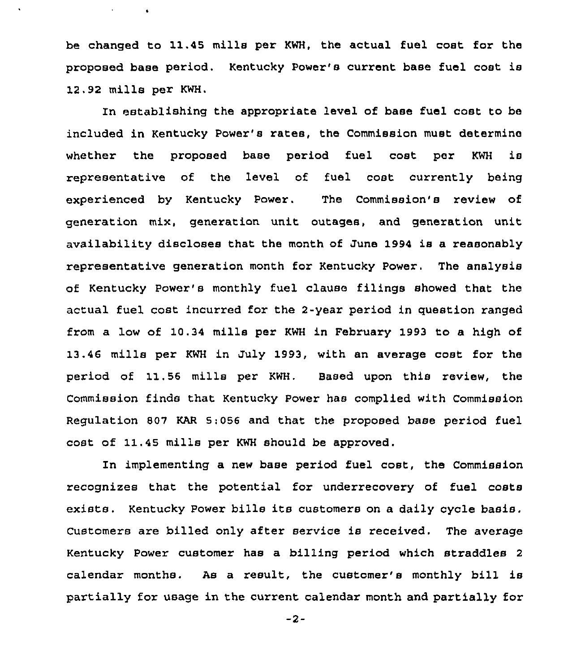be changed to 11.45 mills per KWH, the actual fuel cost for the proposed base period. Kentucky Power's current base fuel coat is 12.92 mills per KWH.

In establishing the appropriate level of base fuel cost to be included in Kentucky Power's rates, the Commission must determine whethez the proposed base period fuel cost per KWH is representative of the level of fuel cost currently being experienced by Kentucky Power. The Commission's review of generation mix, generation unit outages, and generation unit availability discloses that the month of June 1994 is a reasonably representative generation month for Kentucky Power. The analysis of Kentucky Power's monthly fuel clause filings showed that the actual fuel cost incurred for the 2-year period in question ranged from a low of 10.34 mills pez KWH in Febzuary 1993 to a high of 13.46 mills per KWH in July 1993, with an average cost for the period of 11.56 mills per KWH. Based upon this review, the Commission finds that Kentucky Power has complied with Commission Regulation 807 KAR 5:056 and that the proposed base period fuel cost of 11.45 mills per KWH should be approved.

In implementing a new base period fuel cost, the Commission recognizes that the potential for underrecovery of fuel costs exists. Kentucky Powez bills its customers on a daily cycle basis, Customers are billed only after service is received. The average Kentucky Power customer has a billing period which straddles <sup>2</sup> calendar months. As a result, the customer's monthly bill is partially for usage in the cuzrent calendar month and partially for

 $-2-$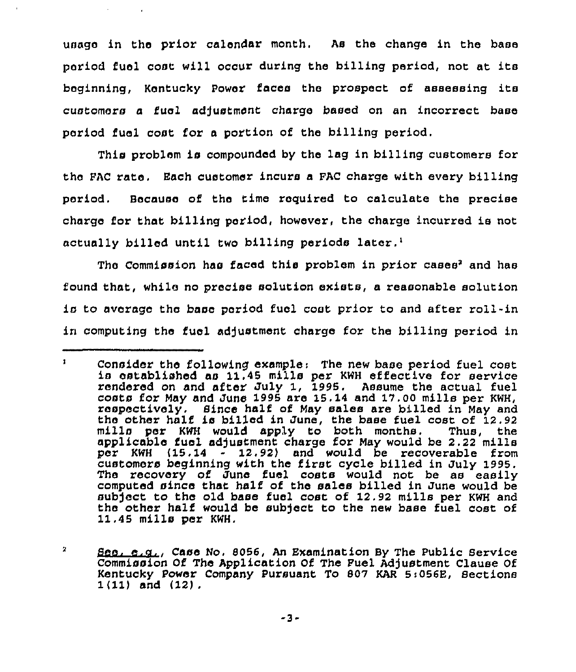usage in the prior calendar month. As the change in the base period fuel coat will occur during the billing period, not at its beginning, Kentucky Power faces the prospect of assessing its customers a fuel adjustment charge based on an incorrect base period fuel cost for a portion of the billing period.

This problem is compounded by the lag in billing customers for the PAC rate. Each customer incurs a PAC charge with every billing period. Because of the time required to calculate the precise charge for that billing period, however, the charge incurred is not actually billed until two billing periods later.<sup>1</sup>

The Commission has faced this problem in prior cases<sup>2</sup> and has found that, while no precise solution exists, a reasonable solution ic to average the base period fuel coat prior to and after roll-in in computing the fuel adjustment charge for the billing period in

 $\mathbf{1}$ Consider the following example: The new base period fuel cost is established as 11,45 mills per KWH effective for sexvice rendered on and after July 1, 1995. Assume the actual fuel costs for May and June <sup>1995</sup> are 15.14 and 17.00 mills per KWH, respectively. Since hali of May sales are billed in May and the other half is billed in June, the base fuel cost of 12.92<br>mills per KWH would apply to both months. Thus, the mills per KWH would apply to both months. applicable fuel adjustment charge for May would be 2.22 mills per KWH (15.14 - 12.92) and would be recoverable from customexs beginning with the first cycle billed in July 1995. The recovery of June fuel costs would not be as easily computed since that half of the sales billed in June would be subject to the old base fuel cost of 12.92 mills per KWH and the other half would be subject to the new base fuel cost of 11.45 mills per KWH.

 $\mathbf{z}$ See. e.c., Case No. 8056, An Examination By The Public Service Commission Of The Application Of The Puel Adjustment Clause Of Kentucky Power Company Pursuant To 807 KAR 5:056E, Sections 1(11) and (12).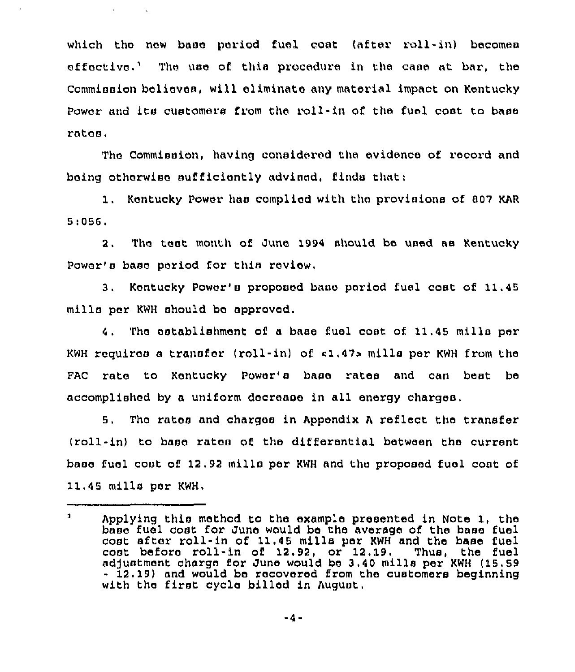which the new base period fuel cost (after roll-in) becomes affective.'ha uae of this procedure in the case at bar, the Commission believes, will eliminate any material impact on Kentucky Power and its customers from the roll-in of the fuel coat to base ratae,

 $\sim 10$ 

The Commission, having considered the evidence of record and being otherwise sufficiently advised, finds that:

1. Kentucky Power has complied with the provisions of 007 KAR 5',055,

2, Tha teat month of June 1994 should be used ae Kentucky Power's base period for this review.

3. Kentucky Power'a proposed base period fuel cost of 11.45 mills par KWH should bo approved.

4. The establishment of a base fuel cost of 11.45 mills per KWH requires a transfer (roll-in) of c1.47» mills per KWH from the FAC rate to Kentucky Power's base rates and can best be accomplished by a uniform decrease in all energy charges,

5. The rates and charges in Appendix <sup>A</sup> reflect the transfer (roll-in) to baaa rates of the differential between the currant base fuel coat of 12.92 mills per KWH and the proposed fuel coat of 11.45 mills par KWH,

 $\mathbf{1}$ Applying this method to the example presented in Note 1, the base fuel cost for June would be the average of the base fuel coat after roll-in of 11.45 mills per KWH and the base fuel cost before roll-in of 12.92, or 12.19. Thus, the fuel ad)uatmant charge for June would be 3.40 mills per KWH (15,59 - 12.19) and would be recovered from the customers beginning with tha first cycle billed in August.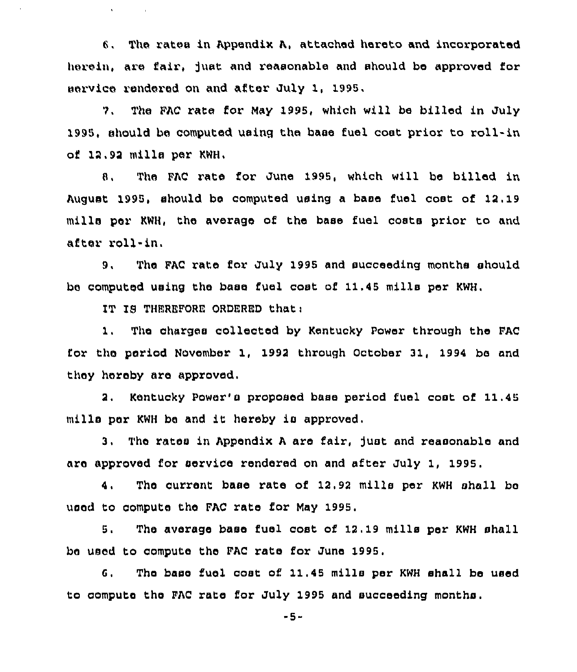6. The xatea in Appendix A, attached hereto and incorporated herein, are fair, juat and reasonable and should be approved for service rendered on and aftex July 1, 1995.

9, The FAC rate for May 1995, which will be billed in July 1995, should be computed using the base fuel coat prior to roll-in of 12,92 mille per KWH,

8. The FAC rate for June 1995, which will bs billed in August 1995, should be computed using a base fuel cost of 12.19 mille per KWH, the average of the base fuel costa prior to and after roll-in.

9, The FAC rate for July 1995 and succeeding months should be computed using the bass fuel cast of 11.45 mille per KWH.

IT IS THEREFORE ORDERED that:

 $\Lambda$  .

 $1.$ The charges collected by Kentucky Power through the FAC fox the period November 1, 1992 through October 31, 1994 bs and they hereby are approved,

Kentucky Power's proposed base period fuel cost of 11.45 2. mills per KWH be and it hereby is approved.

3. The rates in Appendix A are fair, just and reasonable and are approved for service rendered on and after July 1, 1995.

4. The current base rate of 12.92 mills per KWH shall be used to compute the FAC rats for May 1995.

5. The average base fuel cost of 12.19 mills per KWH shall be used to compute the FAC rata for June 1995,

6, Ths base fuel coat of 11.45 mille per KWH ehall be used to compute the FAC rate for July 1995 and succeeding months.

-5-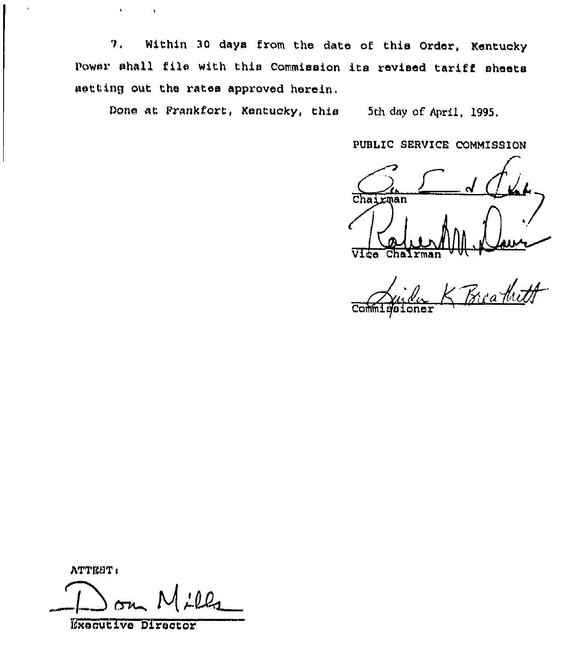7, Within 30 days from the date of this Order, Kentucky Power shall file with this Commission its revised tariff sheets setting out the rates approved herein,

Done at Erankfort, Kentucky, this 5th day of April, 1995,

PUBLIC SERVICE COMMISSION

Chairman  $\frac{1}{2}$ 

Vite Chairman " " Commigaioner

hTTEST<

**....** |  $~^{\circ}$  M  $~^{\prime}$  Ola

Bxoautive Director

 $\mathbf{t}$ 

 $\hat{\mathbf{v}}$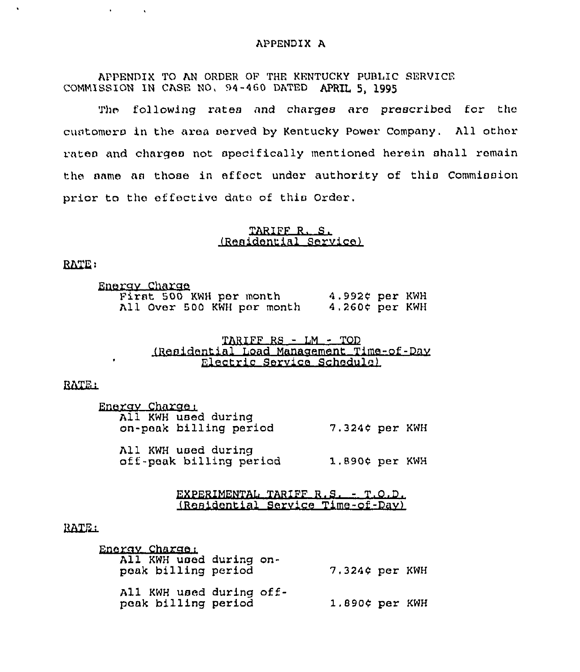#### APPENDIX A

APPENDIX TO AN ORDER OF THE KENTUCKy PUBLIC SERVICE COMMISSION IN CASE NO, 94-460 DATED APRIL 5, 1995

The following rates and charges are prescribed for the customers in the area served by Kentucky Power Company. All other rates and charges not spocifically mentioned herein shall remain the same as those in effect under authority of this Commission prior to tho offectivo date of this Order,

## TARIFF R. S. (Residential Service)

RATE:

 $\mathbf{A}^{(1)}$  and  $\mathbf{A}^{(2)}$ 

 $\sim 100$ 

| Energy Charge |                         |  |                            |                   |  |
|---------------|-------------------------|--|----------------------------|-------------------|--|
|               | First 500 KWH per month |  |                            | 4.992¢ per KWH    |  |
|               |                         |  | All Over 500 KWH per month | $4.260$ ¢ per KWH |  |

# TARIFF RS - LM - TOD (Residential Load Manaaemont Time-of-Dsv Electric Service Schedule)

RATE<sub>1</sub>

| Energy Charge:<br>All KWH used during<br>on-peak billing period | $7.324$ ¢ per KWH |  |
|-----------------------------------------------------------------|-------------------|--|
| All KWH used during<br>off-peak billing period                  | 1.890¢ per KWH    |  |

FXPERIMENTAL TARIFF R.S. - T.O.D. (Residential Service Time-of-Dav)

#### RATE:

| Energy Charge:<br>All KWH used during on-<br>peak billing period |  | $7.324$ ¢ per KWH |  |
|------------------------------------------------------------------|--|-------------------|--|
| All KWH used during off-<br>peak billing period                  |  | $1.890¢$ per KWH  |  |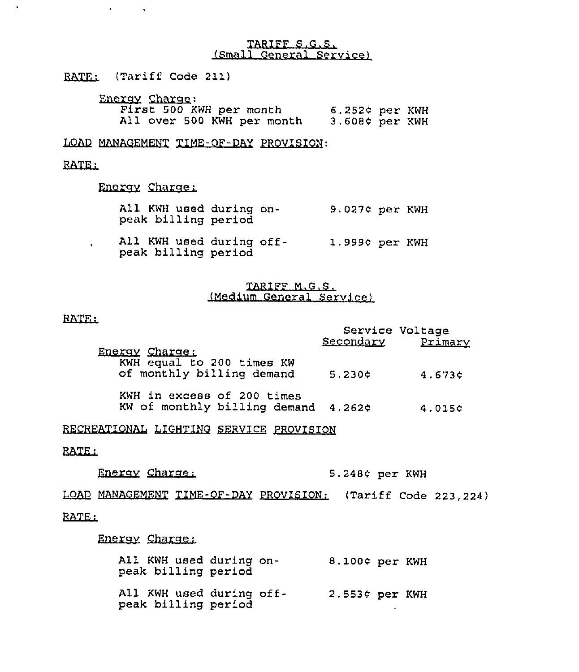### TARIFF S.G.S. (Small General Service)

RATE: (Tariff Code 211)

 $\sim 10^4$ 

 $\Delta \sim 10^{-11}$ 

| Energy Charge:             |                     |  |
|----------------------------|---------------------|--|
| First 500 KWH per month    | $6.252$ ¢ per KWH   |  |
| All over 500 KWH per month | $3.608$ $¢$ per KWH |  |

LOAD MANAGEMENT TIME-OF-DAY PROVISION:

# RATE:

 $\bullet$ 

Energy Charge:

- All KWH used during on-<br>
9.027¢ per KWH peak billing period
- All KWH used during offpeak billing period 1.9994 per KWH

# TARIFF M.G.S. (Medium General Service)

## RATE:

 $\bullet$  . <br> <br> <br> <br> <br> <br> <br> <br> <br> <br><br><br>

| Energy Charge:                                                    |        | Service Voltage<br>Secondary Primary |
|-------------------------------------------------------------------|--------|--------------------------------------|
| KWH equal to 200 times KW<br>of monthly billing demand            | 5.230c | 4.6736                               |
| KWH in excess of 200 times<br>KW of monthly billing demand 4.262¢ |        | 4.015¢                               |

RECREATIONAL LIGHTING SERVICE PROVISION

RATE:

Energy Charge: 5.248¢ per KWH

.<br>Load MANAGEMENT TIME-OF-DAY PROVISION: (Tariff Code 223,224)

Enerav Charac:

| All KWH used during on-<br>peak billing period  |  | 8.100¢ per KWH |  |
|-------------------------------------------------|--|----------------|--|
| All KWH used during off-<br>peak billing period |  | 2.553¢ per KWH |  |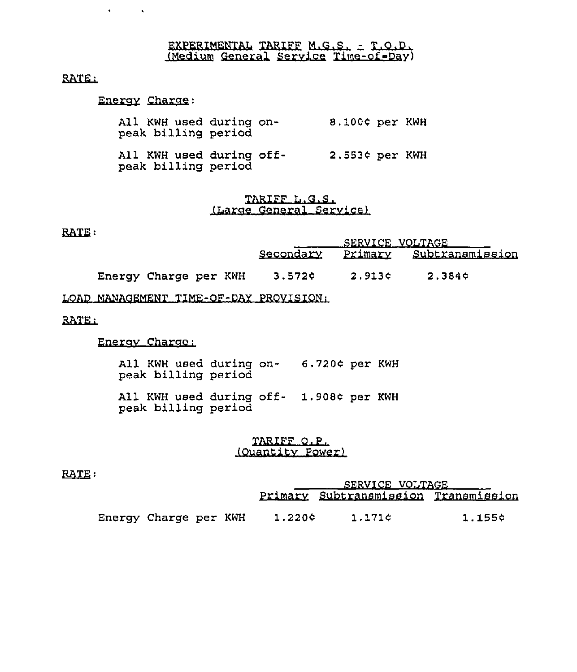# EXPERIMENTAL TARIFF M.G.S. - T.O.D. (Medium General Service Time-of Day)

# RATE:

# Enerav Charac:

 $\mathbf{A}^{\text{max}}$  and  $\mathbf{A}^{\text{max}}$ 

| All KWH used during on-<br>peak billing period  |  | 8.100¢ per KWH |  |
|-------------------------------------------------|--|----------------|--|
| All KWH used during off-<br>peak billing period |  | 2.553¢ per KWH |  |

## TARIFF L.G.S. (Larae General Service)

## **RATE:**

|                       | SERVICE VOLTAGE |        |                                   |  |
|-----------------------|-----------------|--------|-----------------------------------|--|
|                       |                 |        | Secondary Primary Subtransmission |  |
| Energy Charge per KWH | 3.572¢          | 2.913¢ | 2.384 C                           |  |

# LOAD MANAGEMENT TIME-OF-DAY PROVISION:

# RATE:

# Enercv Charac:

All KWH used during on- 6.720¢ per KWH peak billing period

All KWH used during off- 1.908¢ per KWH peak billing period

# TARIFF O.P. (Ouantitv Power)

## RATE:

|                       |        | <u>SERVICE VOLTAGE</u>               |        |  |  |
|-----------------------|--------|--------------------------------------|--------|--|--|
|                       |        | Primary Subtransmission Transmission |        |  |  |
| Energy Charge per KWH | 1.220¢ | 1.171¢                               | 1.155¢ |  |  |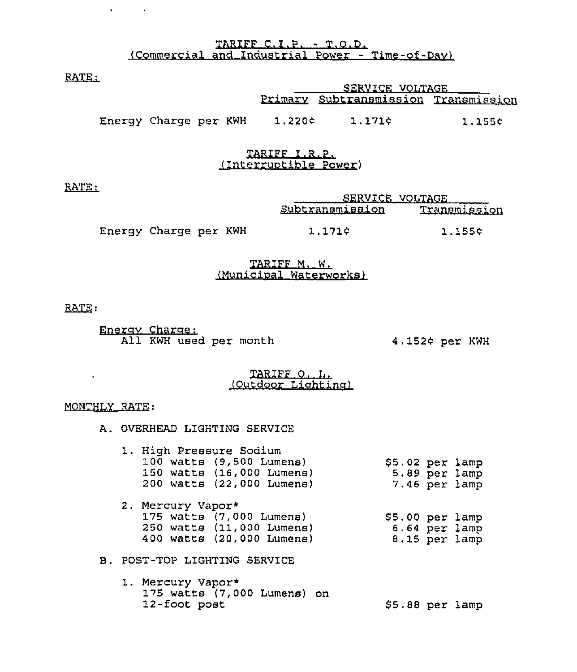TARIFF C.I.P. - T.O.D. (Commercial and Industrial Power - Time-of-Dav)

RATE:

 $\mathcal{A}^{\mathcal{A}}$  and  $\mathcal{A}^{\mathcal{A}}$ 

|                       |  | <u>SERVICE VOLTAGE DE L'ON SERVICE DE L'ON DE L'ON DE L'ON DE L'ON DE L'ON DE L'ON DE L'ON DE L'ON DE L'ON DE L'O</u> |                                      |        |  |
|-----------------------|--|-----------------------------------------------------------------------------------------------------------------------|--------------------------------------|--------|--|
|                       |  |                                                                                                                       | Primary Subtransmission Transmission |        |  |
| Energy Charge per KWH |  | 1.220c                                                                                                                | 1.171c                               | 1.155¢ |  |

## TARIFF I.R.P. (Interruotible Power)

RATE:

|                       |  | SERVICE VOLTAGE |              |
|-----------------------|--|-----------------|--------------|
|                       |  | Subtransmission | Transmission |
| Energy Charge per KWH |  | 1.171c          | 1.155¢       |

# TARIFF M. W. (Municioal Waterworks)

RATE:

Enerav Charac: All KWH used per month 4.152¢ per KWH

## TARIFF O. L. (Outdoor Lighting)

### MONTHLY RATE:

 $\mathbf{A}^{(1)}$  and

A. OVERHEAD LIGHTING SERVICE

|  | 1. High Pressure Sodium<br>$100$ watts $(9,500$ Lumens)<br>150 watts (16,000 Lumens)<br>200 watts (22,000 Lumens) | \$5.02 per lamp<br>5.89 per lamp<br>7.46 per lamp |
|--|-------------------------------------------------------------------------------------------------------------------|---------------------------------------------------|

| 2. Mercury Vapor*         |                 |
|---------------------------|-----------------|
| 175 watts (7,000 Lumens)  | \$5.00~per~lam  |
| 250 watts (11,000 Lumens) | $6.64$ per lamp |
| 400 watts (20,000 Lumens) | $8.15$ per lamp |

- B. POST-TOP LIGHTING SERVICE
	- 1. Mercury Vapor\* 175 watts (7,000 Lumens) on <br>12-foot post \$5.88 per lamp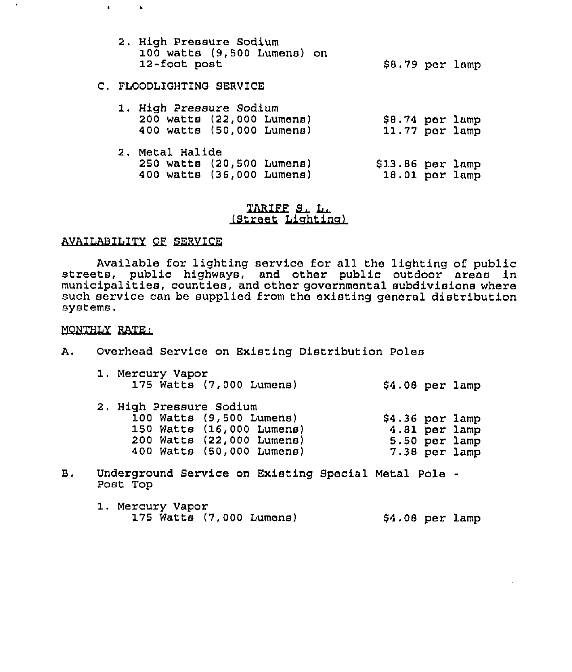| 2. High Pressure Sodium     |                 |  |
|-----------------------------|-----------------|--|
| 100 watts (9,500 Lumens) on |                 |  |
| 12-foot post                | \$8.79 per lamp |  |

# C. FLOODLIGHTING SERVICE

| 1. High Pressure Sodium<br>200 watts (22,000 Lumens)<br>400 watts (50,000 Lumens) |  | \$8.74 per lamp<br>11.77 per lamp   |  |
|-----------------------------------------------------------------------------------|--|-------------------------------------|--|
| 2, Metal Halide<br>250 watts (20,500 Lumens)<br>400 watts (36,000 Lumens)         |  | $$13.86$ per lamp<br>18.01 por lamp |  |

# TARIFF & LL<br>(Street Lighting

# AVAILABILITY OF SERVICE

Available for lighting service for all the lighting of public streets, public highways, and other public outdoor areas in municipalities, counties, and other governmental subdivisions where such service can be supplied from the existing general distribution systems.

# MONTHLY RATE:

 $\bullet$ 

 $\rightarrow$ 

 $\bar{a}$ 

A. Overhead Service on Existing Distribution Poles

| 1. Mercury Vapor         |  |  |                  |  |
|--------------------------|--|--|------------------|--|
| 175 Watts (7,000 Lumens) |  |  | $$4.08$ per lamp |  |

| 2. High Pressure Sodium   |                  |
|---------------------------|------------------|
| 100 Watts (9,500 Lumens)  | $$4.36$ per lamp |
| 150 Watts (16,000 Lumens) | 4.81 per lamp    |
| 200 Watts (22,000 Lumens) | 5.50 per lamp    |
| 400 Watts (50,000 Lumens) | 7.38 per lamp    |

- B. Underground Service on Existing Special Metal Pole Post Top
	- 1. Mercury Vapor 175 Watts (7,000 Lumens) 54.08 per lamp